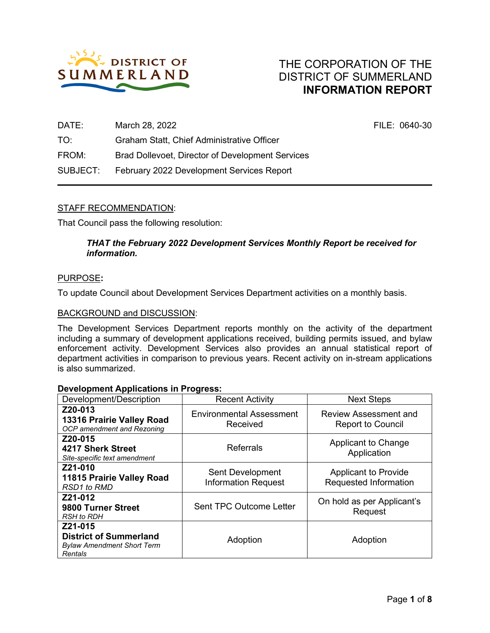

| DATE:    | March 28, 2022                                   | FILE: 0640-30 |
|----------|--------------------------------------------------|---------------|
| TO:      | Graham Statt, Chief Administrative Officer       |               |
| FROM:    | Brad Dollevoet, Director of Development Services |               |
| SUBJECT: | February 2022 Development Services Report        |               |

# STAFF RECOMMENDATION:

That Council pass the following resolution:

# *THAT the February 2022 Development Services Monthly Report be received for information.*

#### PURPOSE**:**

To update Council about Development Services Department activities on a monthly basis.

#### BACKGROUND and DISCUSSION:

The Development Services Department reports monthly on the activity of the department including a summary of development applications received, building permits issued, and bylaw enforcement activity. Development Services also provides an annual statistical report of department activities in comparison to previous years. Recent activity on in-stream applications is also summarized.

#### **Development Applications in Progress:**

| <br>Development/Description                                                              | <b>Recent Activity</b>                         | <b>Next Steps</b>                                        |
|------------------------------------------------------------------------------------------|------------------------------------------------|----------------------------------------------------------|
| Z20-013<br>13316 Prairie Valley Road<br>OCP amendment and Rezoning                       | <b>Environmental Assessment</b><br>Received    | <b>Review Assessment and</b><br><b>Report to Council</b> |
| Z20-015<br>4217 Sherk Street<br>Site-specific text amendment                             | <b>Referrals</b>                               | Applicant to Change<br>Application                       |
| Z21-010<br>11815 Prairie Valley Road<br><b>RSD1</b> to RMD                               | Sent Development<br><b>Information Request</b> | <b>Applicant to Provide</b><br>Requested Information     |
| Z21-012<br>9800 Turner Street<br><b>RSH</b> to RDH                                       | <b>Sent TPC Outcome Letter</b>                 | On hold as per Applicant's<br>Request                    |
| Z21-015<br><b>District of Summerland</b><br><b>Bylaw Amendment Short Term</b><br>Rentals | Adoption                                       | Adoption                                                 |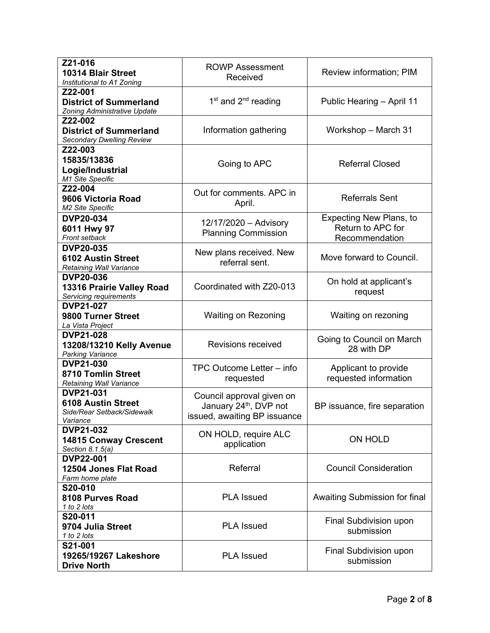| Z21-016<br>10314 Blair Street<br>Institutional to A1 Zoning                                                           | <b>ROWP Assessment</b><br>Received                                                              | Review information; PIM                                               |
|-----------------------------------------------------------------------------------------------------------------------|-------------------------------------------------------------------------------------------------|-----------------------------------------------------------------------|
| Z22-001<br><b>District of Summerland</b><br>Zoning Administrative Update                                              | $1st$ and $2nd$ reading                                                                         | Public Hearing - April 11                                             |
| Z22-002<br><b>District of Summerland</b><br><b>Secondary Dwelling Review</b>                                          | Information gathering                                                                           | Workshop - March 31                                                   |
| Z22-003<br>15835/13836<br>Logie/Industrial<br>M1 Site Specific                                                        | Going to APC                                                                                    | <b>Referral Closed</b>                                                |
| Z22-004<br>9606 Victoria Road<br>M2 Site Specific                                                                     | Out for comments, APC in<br><b>Referrals Sent</b><br>April.                                     |                                                                       |
| <b>DVP20-034</b><br>6011 Hwy 97<br>Front setback                                                                      | 12/17/2020 - Advisory<br><b>Planning Commission</b>                                             | <b>Expecting New Plans, to</b><br>Return to APC for<br>Recommendation |
| <b>DVP20-035</b><br>New plans received. New<br><b>6102 Austin Street</b><br>referral sent.<br>Retaining Wall Variance |                                                                                                 | Move forward to Council.                                              |
| <b>DVP20-036</b><br>13316 Prairie Valley Road<br>Servicing requirements                                               | Coordinated with Z20-013                                                                        | On hold at applicant's<br>request                                     |
| <b>DVP21-027</b><br>9800 Turner Street<br>La Vista Project                                                            | <b>Waiting on Rezoning</b>                                                                      | Waiting on rezoning                                                   |
| <b>DVP21-028</b><br>13208/13210 Kelly Avenue<br><b>Parking Variance</b>                                               | <b>Revisions received</b>                                                                       | Going to Council on March<br>28 with DP                               |
| <b>DVP21-030</b><br>8710 Tomlin Street<br>Retaining Wall Variance                                                     | TPC Outcome Letter - info<br>requested                                                          | Applicant to provide<br>requested information                         |
| <b>DVP21-031</b><br><b>6108 Austin Street</b><br>Side/Rear Setback/Sidewalk<br>Variance                               | Council approval given on<br>January 24 <sup>th</sup> , DVP not<br>issued, awaiting BP issuance | BP issuance, fire separation                                          |
| <b>DVP21-032</b><br><b>14815 Conway Crescent</b><br>Section 8.1.5(a)                                                  | ON HOLD, require ALC<br>application                                                             | <b>ON HOLD</b>                                                        |
| <b>DVP22-001</b><br>12504 Jones Flat Road<br>Farm home plate                                                          | Referral                                                                                        | <b>Council Consideration</b>                                          |
| S20-010<br>8108 Purves Road<br>1 to 2 lots                                                                            | <b>PLA Issued</b>                                                                               | Awaiting Submission for final                                         |
| S20-011<br>9704 Julia Street<br>1 to 2 lots                                                                           | <b>PLA Issued</b>                                                                               | Final Subdivision upon<br>submission                                  |
| S21-001<br>19265/19267 Lakeshore<br><b>Drive North</b>                                                                | <b>PLA Issued</b>                                                                               | Final Subdivision upon<br>submission                                  |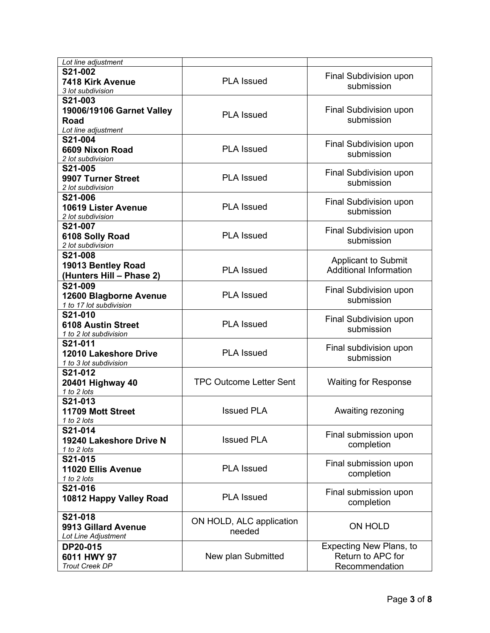| Lot line adjustment                                                 |                                    |                                                                       |  |
|---------------------------------------------------------------------|------------------------------------|-----------------------------------------------------------------------|--|
| S21-002<br>7418 Kirk Avenue<br>3 lot subdivision                    | <b>PLA Issued</b>                  | Final Subdivision upon<br>submission                                  |  |
| S21-003<br>19006/19106 Garnet Valley<br>Road<br>Lot line adjustment | <b>PLA Issued</b>                  | Final Subdivision upon<br>submission                                  |  |
| S21-004<br>6609 Nixon Road<br>2 lot subdivision                     | <b>PLA Issued</b>                  | Final Subdivision upon<br>submission                                  |  |
| S21-005<br>9907 Turner Street<br>2 lot subdivision                  | <b>PLA Issued</b>                  | Final Subdivision upon<br>submission                                  |  |
| S21-006<br>10619 Lister Avenue<br>2 lot subdivision                 | <b>PLA Issued</b>                  | Final Subdivision upon<br>submission                                  |  |
| S21-007<br>6108 Solly Road<br>2 lot subdivision                     | <b>PLA Issued</b>                  | Final Subdivision upon<br>submission                                  |  |
| S21-008<br>19013 Bentley Road<br>(Hunters Hill - Phase 2)           | <b>PLA Issued</b>                  | <b>Applicant to Submit</b><br><b>Additional Information</b>           |  |
| S21-009<br>12600 Blagborne Avenue<br>1 to 17 lot subdivision        | <b>PLA Issued</b>                  | Final Subdivision upon<br>submission                                  |  |
| S21-010<br><b>6108 Austin Street</b><br>1 to 2 lot subdivision      | <b>PLA Issued</b>                  | Final Subdivision upon<br>submission                                  |  |
| S21-011<br>12010 Lakeshore Drive<br>1 to 3 lot subdivision          | <b>PLA Issued</b>                  | Final subdivision upon<br>submission                                  |  |
| S21-012<br>20401 Highway 40<br>1 to 2 lots                          | <b>TPC Outcome Letter Sent</b>     | <b>Waiting for Response</b>                                           |  |
| S21-013<br>11709 Mott Street<br>1 to 2 lots                         | <b>Issued PLA</b>                  | Awaiting rezoning                                                     |  |
| S21-014<br>19240 Lakeshore Drive N<br>1 to 2 lots                   | <b>Issued PLA</b>                  | Final submission upon<br>completion                                   |  |
| S21-015<br>11020 Ellis Avenue<br>1 to 2 lots                        | <b>PLA Issued</b>                  | Final submission upon<br>completion                                   |  |
| S21-016<br>10812 Happy Valley Road                                  | <b>PLA Issued</b>                  | Final submission upon<br>completion                                   |  |
| S21-018<br>9913 Gillard Avenue<br>Lot Line Adjustment               | ON HOLD, ALC application<br>needed | <b>ON HOLD</b>                                                        |  |
| DP20-015<br>6011 HWY 97<br><b>Trout Creek DP</b>                    | New plan Submitted                 | <b>Expecting New Plans, to</b><br>Return to APC for<br>Recommendation |  |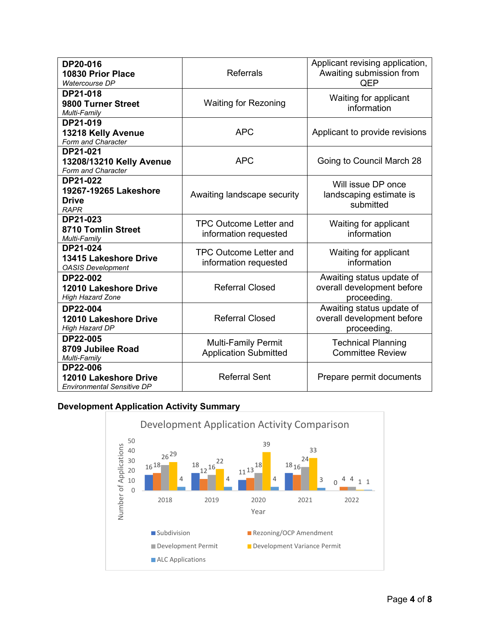| DP20-016<br>10830 Prior Place<br>Watercourse DP                               | <b>Referrals</b>                                           | Applicant revising application,<br>Awaiting submission from<br>QEP     |  |  |
|-------------------------------------------------------------------------------|------------------------------------------------------------|------------------------------------------------------------------------|--|--|
| DP21-018<br>9800 Turner Street<br>Multi-Family                                | <b>Waiting for Rezoning</b>                                | Waiting for applicant<br>information                                   |  |  |
| DP21-019<br>13218 Kelly Avenue<br>Form and Character                          | <b>APC</b>                                                 | Applicant to provide revisions                                         |  |  |
| DP21-021<br>13208/13210 Kelly Avenue<br>Form and Character                    | <b>APC</b>                                                 | Going to Council March 28                                              |  |  |
| DP21-022<br>19267-19265 Lakeshore<br><b>Drive</b><br><b>RAPR</b>              | Awaiting landscape security                                | Will issue DP once<br>landscaping estimate is<br>submitted             |  |  |
| DP21-023<br>8710 Tomlin Street<br>Multi-Family                                | <b>TPC Outcome Letter and</b><br>information requested     | Waiting for applicant<br>information                                   |  |  |
| DP21-024<br>13415 Lakeshore Drive<br><b>OASIS Development</b>                 | <b>TPC Outcome Letter and</b><br>information requested     | Waiting for applicant<br>information                                   |  |  |
| <b>DP22-002</b><br>12010 Lakeshore Drive<br><b>High Hazard Zone</b>           | <b>Referral Closed</b>                                     | Awaiting status update of<br>overall development before<br>proceeding. |  |  |
| <b>DP22-004</b><br>12010 Lakeshore Drive<br><b>High Hazard DP</b>             | <b>Referral Closed</b>                                     | Awaiting status update of<br>overall development before<br>proceeding. |  |  |
| DP22-005<br>8709 Jubilee Road<br>Multi-Family                                 | <b>Multi-Family Permit</b><br><b>Application Submitted</b> | <b>Technical Planning</b><br><b>Committee Review</b>                   |  |  |
| <b>DP22-006</b><br>12010 Lakeshore Drive<br><b>Environmental Sensitive DP</b> | <b>Referral Sent</b>                                       | Prepare permit documents                                               |  |  |

# **Development Application Activity Summary**

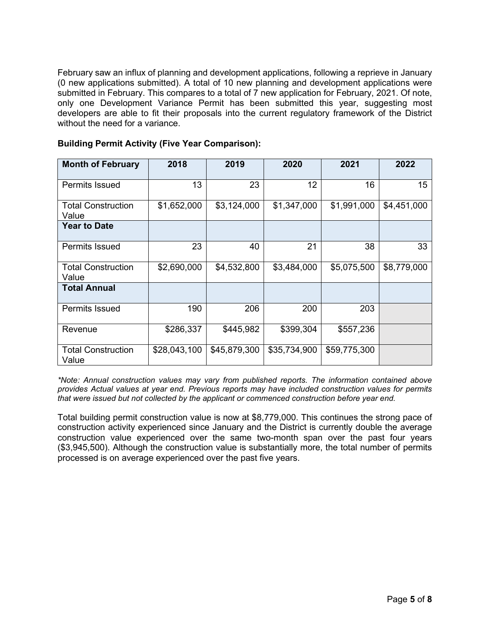February saw an influx of planning and development applications, following a reprieve in January (0 new applications submitted). A total of 10 new planning and development applications were submitted in February. This compares to a total of 7 new application for February, 2021. Of note, only one Development Variance Permit has been submitted this year, suggesting most developers are able to fit their proposals into the current regulatory framework of the District without the need for a variance.

| <b>Month of February</b>           | 2018         | 2019         | 2020         | 2021         | 2022        |
|------------------------------------|--------------|--------------|--------------|--------------|-------------|
| <b>Permits Issued</b>              | 13           | 23           | 12           | 16           | 15          |
| <b>Total Construction</b><br>Value | \$1,652,000  | \$3,124,000  | \$1,347,000  | \$1,991,000  | \$4,451,000 |
| <b>Year to Date</b>                |              |              |              |              |             |
| <b>Permits Issued</b>              | 23           | 40           | 21           | 38           | 33          |
| <b>Total Construction</b><br>Value | \$2,690,000  | \$4,532,800  | \$3,484,000  | \$5,075,500  | \$8,779,000 |
| <b>Total Annual</b>                |              |              |              |              |             |
| <b>Permits Issued</b>              | 190          | 206          | 200          | 203          |             |
| Revenue                            | \$286,337    | \$445,982    | \$399,304    | \$557,236    |             |
| <b>Total Construction</b><br>Value | \$28,043,100 | \$45,879,300 | \$35,734,900 | \$59,775,300 |             |

# **Building Permit Activity (Five Year Comparison):**

*\*Note: Annual construction values may vary from published reports. The information contained above provides Actual values at year end. Previous reports may have included construction values for permits that were issued but not collected by the applicant or commenced construction before year end.*

Total building permit construction value is now at \$8,779,000. This continues the strong pace of construction activity experienced since January and the District is currently double the average construction value experienced over the same two-month span over the past four years (\$3,945,500). Although the construction value is substantially more, the total number of permits processed is on average experienced over the past five years.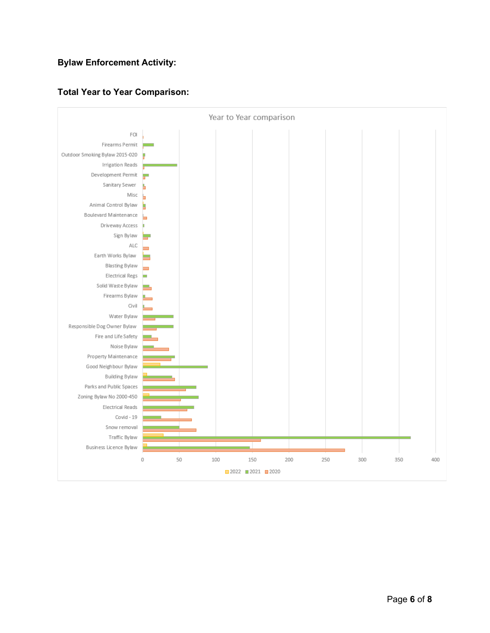# **Bylaw Enforcement Activity:**



# **Total Year to Year Comparison:**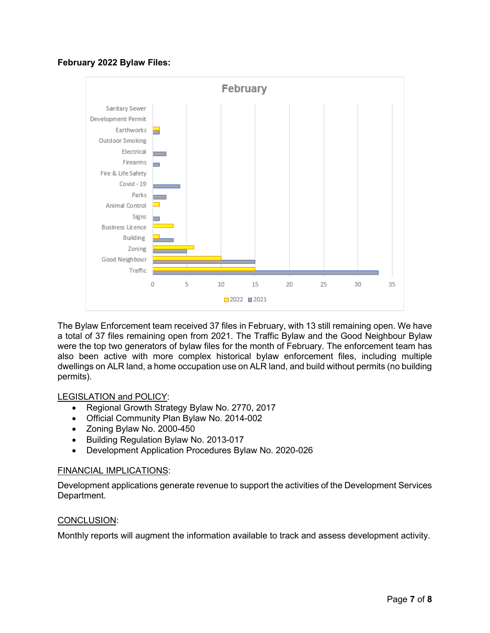# **February 2022 Bylaw Files:**



The Bylaw Enforcement team received 37 files in February, with 13 still remaining open. We have a total of 37 files remaining open from 2021. The Traffic Bylaw and the Good Neighbour Bylaw were the top two generators of bylaw files for the month of February. The enforcement team has also been active with more complex historical bylaw enforcement files, including multiple dwellings on ALR land, a home occupation use on ALR land, and build without permits (no building permits).

# LEGISLATION and POLICY:

- Regional Growth Strategy Bylaw No. 2770, 2017
- Official Community Plan Bylaw No. 2014-002
- Zoning Bylaw No. 2000-450
- Building Regulation Bylaw No. 2013-017
- Development Application Procedures Bylaw No. 2020-026

# FINANCIAL IMPLICATIONS:

Development applications generate revenue to support the activities of the Development Services Department.

# CONCLUSION:

Monthly reports will augment the information available to track and assess development activity.